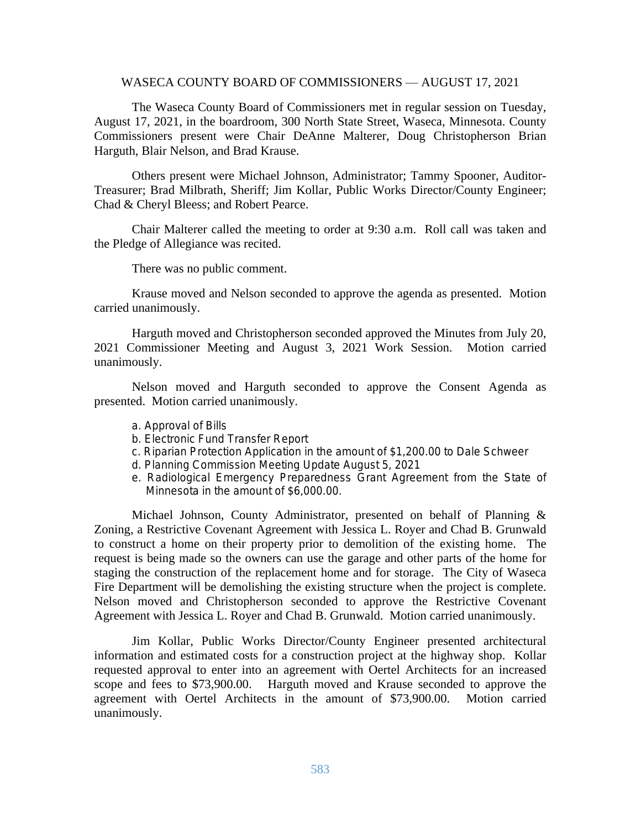## WASECA COUNTY BOARD OF COMMISSIONERS — AUGUST 17, 2021

The Waseca County Board of Commissioners met in regular session on Tuesday, August 17, 2021, in the boardroom, 300 North State Street, Waseca, Minnesota. County Commissioners present were Chair DeAnne Malterer, Doug Christopherson Brian Harguth, Blair Nelson, and Brad Krause.

Others present were Michael Johnson, Administrator; Tammy Spooner, Auditor-Treasurer; Brad Milbrath, Sheriff; Jim Kollar, Public Works Director/County Engineer; Chad & Cheryl Bleess; and Robert Pearce.

Chair Malterer called the meeting to order at 9:30 a.m. Roll call was taken and the Pledge of Allegiance was recited.

There was no public comment.

Krause moved and Nelson seconded to approve the agenda as presented. Motion carried unanimously.

Harguth moved and Christopherson seconded approved the Minutes from July 20, 2021 Commissioner Meeting and August 3, 2021 Work Session. Motion carried unanimously.

Nelson moved and Harguth seconded to approve the Consent Agenda as presented. Motion carried unanimously.

- a. Approval of Bills
- b. Electronic Fund Transfer Report
- c. Riparian Protection Application in the amount of \$1,200.00 to Dale Schweer
- d. Planning Commission Meeting Update August 5, 2021
- e. Radiological Emergency Preparedness Grant Agreement from the State of Minnesota in the amount of \$6,000.00.

Michael Johnson, County Administrator, presented on behalf of Planning & Zoning, a Restrictive Covenant Agreement with Jessica L. Royer and Chad B. Grunwald to construct a home on their property prior to demolition of the existing home. The request is being made so the owners can use the garage and other parts of the home for staging the construction of the replacement home and for storage. The City of Waseca Fire Department will be demolishing the existing structure when the project is complete. Nelson moved and Christopherson seconded to approve the Restrictive Covenant Agreement with Jessica L. Royer and Chad B. Grunwald. Motion carried unanimously.

Jim Kollar, Public Works Director/County Engineer presented architectural information and estimated costs for a construction project at the highway shop. Kollar requested approval to enter into an agreement with Oertel Architects for an increased scope and fees to \$73,900.00. Harguth moved and Krause seconded to approve the agreement with Oertel Architects in the amount of \$73,900.00. Motion carried unanimously.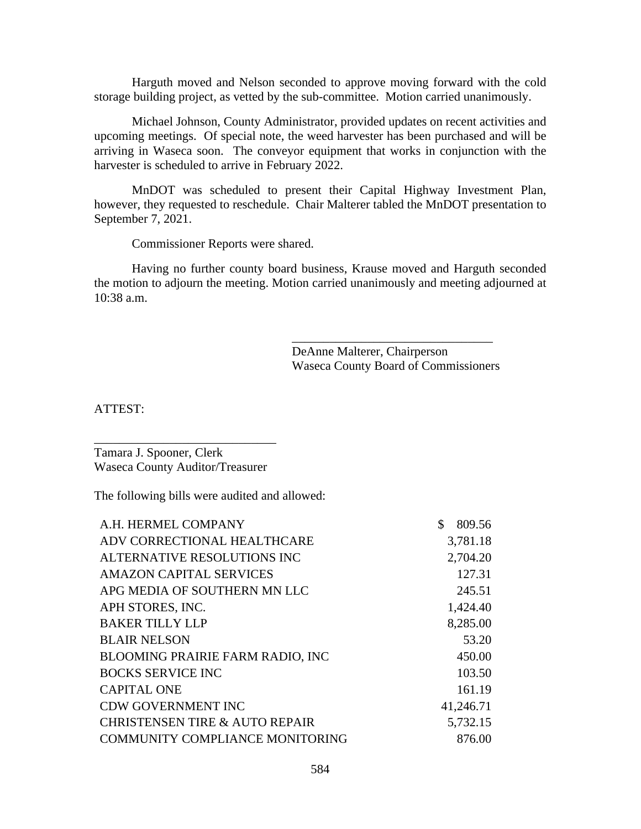Harguth moved and Nelson seconded to approve moving forward with the cold storage building project, as vetted by the sub-committee. Motion carried unanimously.

Michael Johnson, County Administrator, provided updates on recent activities and upcoming meetings. Of special note, the weed harvester has been purchased and will be arriving in Waseca soon. The conveyor equipment that works in conjunction with the harvester is scheduled to arrive in February 2022.

MnDOT was scheduled to present their Capital Highway Investment Plan, however, they requested to reschedule. Chair Malterer tabled the MnDOT presentation to September 7, 2021.

Commissioner Reports were shared.

Having no further county board business, Krause moved and Harguth seconded the motion to adjourn the meeting. Motion carried unanimously and meeting adjourned at 10:38 a.m.

> DeAnne Malterer, Chairperson Waseca County Board of Commissioners

\_\_\_\_\_\_\_\_\_\_\_\_\_\_\_\_\_\_\_\_\_\_\_\_\_\_\_\_\_\_\_\_

ATTEST:

Tamara J. Spooner, Clerk Waseca County Auditor/Treasurer

\_\_\_\_\_\_\_\_\_\_\_\_\_\_\_\_\_\_\_\_\_\_\_\_\_\_\_\_\_

The following bills were audited and allowed:

| A.H. HERMEL COMPANY                       | 809.56    |
|-------------------------------------------|-----------|
| ADV CORRECTIONAL HEALTHCARE               | 3,781.18  |
| ALTERNATIVE RESOLUTIONS INC               | 2,704.20  |
| <b>AMAZON CAPITAL SERVICES</b>            | 127.31    |
| APG MEDIA OF SOUTHERN MN LLC              | 245.51    |
| APH STORES, INC.                          | 1,424.40  |
| <b>BAKER TILLY LLP</b>                    | 8,285.00  |
| <b>BLAIR NELSON</b>                       | 53.20     |
| <b>BLOOMING PRAIRIE FARM RADIO, INC</b>   | 450.00    |
| <b>BOCKS SERVICE INC</b>                  | 103.50    |
| <b>CAPITAL ONE</b>                        | 161.19    |
| <b>CDW GOVERNMENT INC</b>                 | 41,246.71 |
| <b>CHRISTENSEN TIRE &amp; AUTO REPAIR</b> | 5,732.15  |
| <b>COMMUNITY COMPLIANCE MONITORING</b>    | 876.00    |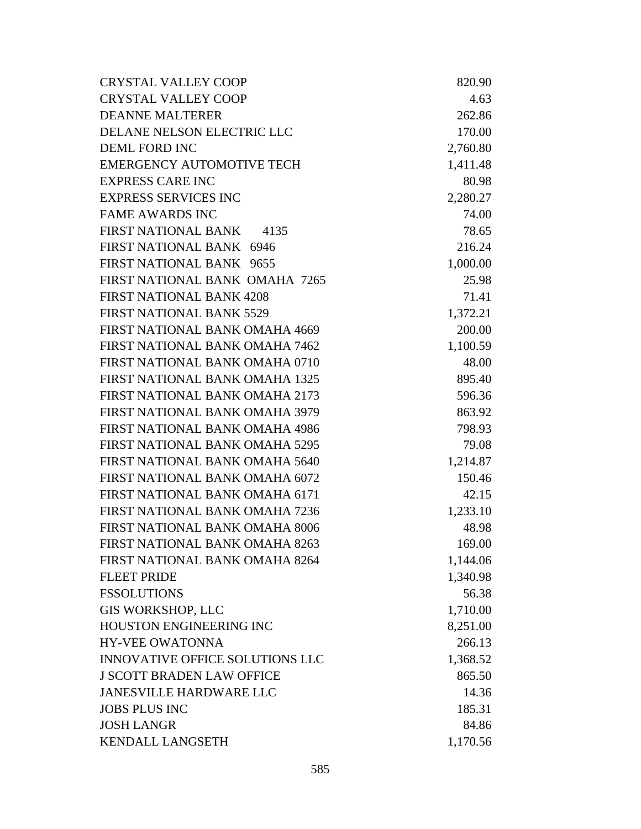| <b>CRYSTAL VALLEY COOP</b>             | 820.90   |
|----------------------------------------|----------|
| <b>CRYSTAL VALLEY COOP</b>             | 4.63     |
| <b>DEANNE MALTERER</b>                 | 262.86   |
| DELANE NELSON ELECTRIC LLC             | 170.00   |
| DEML FORD INC                          | 2,760.80 |
| <b>EMERGENCY AUTOMOTIVE TECH</b>       | 1,411.48 |
| <b>EXPRESS CARE INC</b>                | 80.98    |
| <b>EXPRESS SERVICES INC</b>            | 2,280.27 |
| <b>FAME AWARDS INC</b>                 | 74.00    |
| FIRST NATIONAL BANK 4135               | 78.65    |
| FIRST NATIONAL BANK 6946               | 216.24   |
| FIRST NATIONAL BANK 9655               | 1,000.00 |
| FIRST NATIONAL BANK OMAHA 7265         | 25.98    |
| <b>FIRST NATIONAL BANK 4208</b>        | 71.41    |
| <b>FIRST NATIONAL BANK 5529</b>        | 1,372.21 |
| FIRST NATIONAL BANK OMAHA 4669         | 200.00   |
| FIRST NATIONAL BANK OMAHA 7462         | 1,100.59 |
| FIRST NATIONAL BANK OMAHA 0710         | 48.00    |
| FIRST NATIONAL BANK OMAHA 1325         | 895.40   |
| FIRST NATIONAL BANK OMAHA 2173         | 596.36   |
| FIRST NATIONAL BANK OMAHA 3979         | 863.92   |
| FIRST NATIONAL BANK OMAHA 4986         | 798.93   |
| <b>FIRST NATIONAL BANK OMAHA 5295</b>  | 79.08    |
| FIRST NATIONAL BANK OMAHA 5640         | 1,214.87 |
| FIRST NATIONAL BANK OMAHA 6072         | 150.46   |
| FIRST NATIONAL BANK OMAHA 6171         | 42.15    |
| FIRST NATIONAL BANK OMAHA 7236         | 1,233.10 |
| FIRST NATIONAL BANK OMAHA 8006         | 48.98    |
| FIRST NATIONAL BANK OMAHA 8263         | 169.00   |
| FIRST NATIONAL BANK OMAHA 8264         | 1,144.06 |
| <b>FLEET PRIDE</b>                     | 1,340.98 |
| <b>FSSOLUTIONS</b>                     | 56.38    |
| <b>GIS WORKSHOP, LLC</b>               | 1,710.00 |
| <b>HOUSTON ENGINEERING INC</b>         | 8,251.00 |
| <b>HY-VEE OWATONNA</b>                 | 266.13   |
| <b>INNOVATIVE OFFICE SOLUTIONS LLC</b> | 1,368.52 |
| <b>J SCOTT BRADEN LAW OFFICE</b>       | 865.50   |
| <b>JANESVILLE HARDWARE LLC</b>         | 14.36    |
| <b>JOBS PLUS INC</b>                   | 185.31   |
| <b>JOSH LANGR</b>                      | 84.86    |
| <b>KENDALL LANGSETH</b>                | 1,170.56 |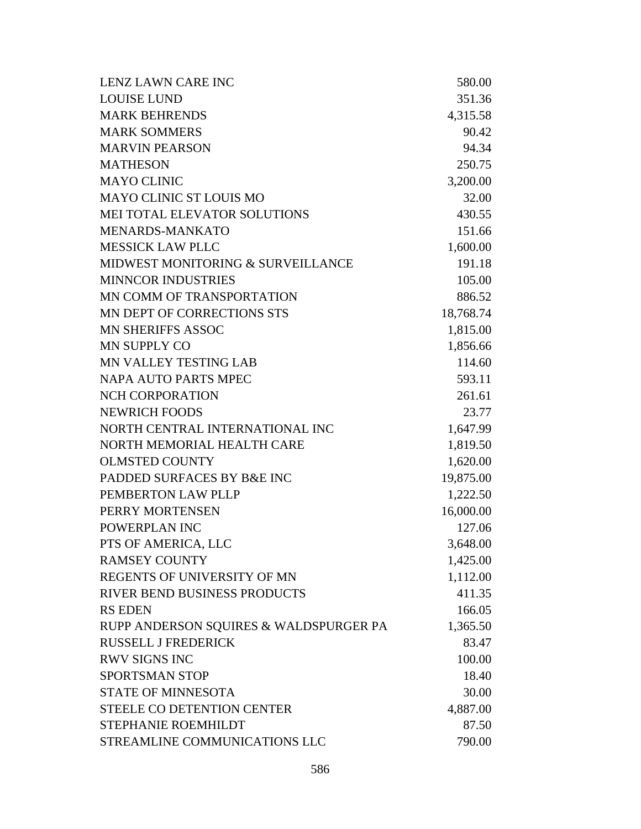| <b>LENZ LAWN CARE INC</b>              | 580.00    |
|----------------------------------------|-----------|
| <b>LOUISE LUND</b>                     | 351.36    |
| <b>MARK BEHRENDS</b>                   | 4,315.58  |
| <b>MARK SOMMERS</b>                    | 90.42     |
| <b>MARVIN PEARSON</b>                  | 94.34     |
| <b>MATHESON</b>                        | 250.75    |
| <b>MAYO CLINIC</b>                     | 3,200.00  |
| <b>MAYO CLINIC ST LOUIS MO</b>         | 32.00     |
| MEI TOTAL ELEVATOR SOLUTIONS           | 430.55    |
| <b>MENARDS-MANKATO</b>                 | 151.66    |
| <b>MESSICK LAW PLLC</b>                | 1,600.00  |
| MIDWEST MONITORING & SURVEILLANCE      | 191.18    |
| <b>MINNCOR INDUSTRIES</b>              | 105.00    |
| MN COMM OF TRANSPORTATION              | 886.52    |
| MN DEPT OF CORRECTIONS STS             | 18,768.74 |
| <b>MN SHERIFFS ASSOC</b>               | 1,815.00  |
| <b>MN SUPPLY CO</b>                    | 1,856.66  |
| <b>MN VALLEY TESTING LAB</b>           | 114.60    |
| <b>NAPA AUTO PARTS MPEC</b>            | 593.11    |
| <b>NCH CORPORATION</b>                 | 261.61    |
| <b>NEWRICH FOODS</b>                   | 23.77     |
| NORTH CENTRAL INTERNATIONAL INC        | 1,647.99  |
| NORTH MEMORIAL HEALTH CARE             | 1,819.50  |
| <b>OLMSTED COUNTY</b>                  | 1,620.00  |
| PADDED SURFACES BY B&E INC             | 19,875.00 |
| PEMBERTON LAW PLLP                     | 1,222.50  |
| PERRY MORTENSEN                        | 16,000.00 |
| POWERPLAN INC                          | 127.06    |
| PTS OF AMERICA, LLC                    | 3,648.00  |
| <b>RAMSEY COUNTY</b>                   | 1,425.00  |
| REGENTS OF UNIVERSITY OF MN            | 1,112.00  |
| RIVER BEND BUSINESS PRODUCTS           | 411.35    |
| <b>RS EDEN</b>                         | 166.05    |
| RUPP ANDERSON SQUIRES & WALDSPURGER PA | 1,365.50  |
| RUSSELL J FREDERICK                    | 83.47     |
| <b>RWV SIGNS INC</b>                   | 100.00    |
| <b>SPORTSMAN STOP</b>                  | 18.40     |
| <b>STATE OF MINNESOTA</b>              | 30.00     |
| STEELE CO DETENTION CENTER             | 4,887.00  |
| STEPHANIE ROEMHILDT                    | 87.50     |
| STREAMLINE COMMUNICATIONS LLC          | 790.00    |